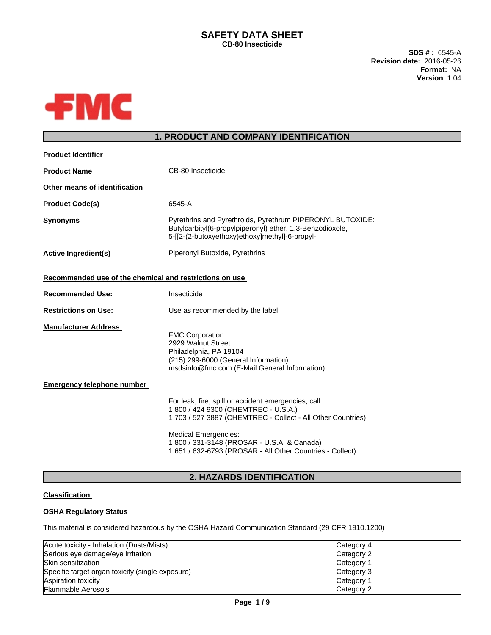### **SAFETY DATA SHEET CB-80 Insecticide**

**SDS # :** 6545-A **Revision date:** 2016-05-26 **Format:** NA **Version** 1.04



## **1. PRODUCT AND COMPANY IDENTIFICATION**

| <b>Product Identifier</b>                               |                                                                                                                                                                          |
|---------------------------------------------------------|--------------------------------------------------------------------------------------------------------------------------------------------------------------------------|
| <b>Product Name</b>                                     | CB-80 Insecticide                                                                                                                                                        |
| Other means of identification                           |                                                                                                                                                                          |
| <b>Product Code(s)</b>                                  | 6545-A                                                                                                                                                                   |
| <b>Synonyms</b>                                         | Pyrethrins and Pyrethroids, Pyrethrum PIPERONYL BUTOXIDE:<br>Butylcarbityl(6-propylpiperonyl) ether, 1,3-Benzodioxole,<br>5-[[2-(2-butoxyethoxy)ethoxy]methyl]-6-propyl- |
| <b>Active Ingredient(s)</b>                             | Piperonyl Butoxide, Pyrethrins                                                                                                                                           |
| Recommended use of the chemical and restrictions on use |                                                                                                                                                                          |
| <b>Recommended Use:</b>                                 | Insecticide                                                                                                                                                              |
| <b>Restrictions on Use:</b>                             | Use as recommended by the label                                                                                                                                          |
| <b>Manufacturer Address</b>                             | <b>FMC Corporation</b><br>2929 Walnut Street<br>Philadelphia, PA 19104<br>(215) 299-6000 (General Information)<br>msdsinfo@fmc.com (E-Mail General Information)          |
| <b>Emergency telephone number</b>                       |                                                                                                                                                                          |
|                                                         | For leak, fire, spill or accident emergencies, call:<br>1 800 / 424 9300 (CHEMTREC - U.S.A.)<br>1 703 / 527 3887 (CHEMTREC - Collect - All Other Countries)              |
|                                                         | <b>Medical Emergencies:</b><br>1 800 / 331-3148 (PROSAR - U.S.A. & Canada)<br>1 651 / 632-6793 (PROSAR - All Other Countries - Collect)                                  |

## **2. HAZARDS IDENTIFICATION**

## **Classification**

## **OSHA Regulatory Status**

This material is considered hazardous by the OSHA Hazard Communication Standard (29 CFR 1910.1200)

| Acute toxicity - Inhalation (Dusts/Mists)        | Category 4      |
|--------------------------------------------------|-----------------|
| Serious eye damage/eye irritation                | Category 2      |
| <b>Skin sensitization</b>                        | <b>Category</b> |
| Specific target organ toxicity (single exposure) | Category 3      |
| Aspiration toxicity                              | Category        |
| <b>Flammable Aerosols</b>                        | Category 2      |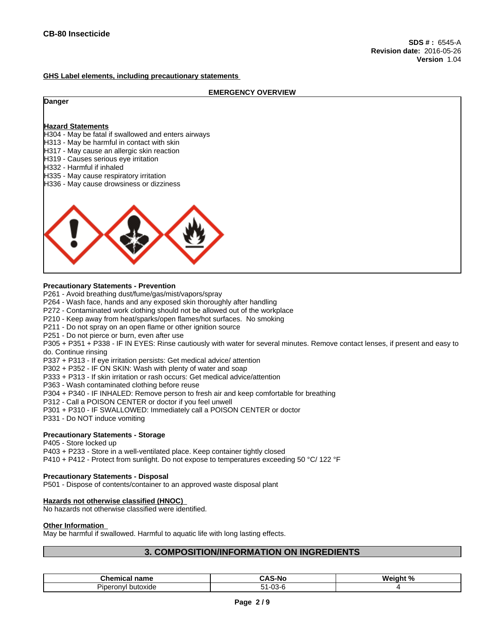### **GHS Label elements, including precautionary statements**

### **EMERGENCY OVERVIEW**

### **Danger**

### **Hazard Statements**

- H304 May be fatal if swallowed and enters airways
- H313 May be harmful in contact with skin
- H317 May cause an allergic skin reaction
- H319 Causes serious eye irritation
- H332 Harmful if inhaled
- H335 May cause respiratory irritation
- H336 May cause drowsiness or dizziness



### **Precautionary Statements - Prevention**

- P261 Avoid breathing dust/fume/gas/mist/vapors/spray
- P264 Wash face, hands and any exposed skin thoroughly after handling
- P272 Contaminated work clothing should not be allowed out of the workplace
- P210 Keep away from heat/sparks/open flames/hot surfaces. No smoking
- P211 Do not spray on an open flame or other ignition source
- P251 Do not pierce or burn, even after use

P305 + P351 + P338 - IF IN EYES: Rinse cautiously with water forseveral minutes. Remove contact lenses, if present and easy to do. Continue rinsing

- P337 + P313 If eye irritation persists: Get medical advice/ attention
- P302 + P352 IF ON SKIN: Wash with plenty of water and soap
- P333 + P313 If skin irritation or rash occurs: Getmedical advice/attention
- P363 Wash contaminated clothing before reuse
- P304 + P340 IF INHALED: Remove person to fresh air and keep comfortable for breathing
- P312 Call a POISON CENTER or doctor if you feel unwell
- P301 + P310 IF SWALLOWED: Immediately call a POISON CENTER or doctor
- P331 Do NOT induce vomiting

### **Precautionary Statements - Storage**

P405 - Store locked up

P403 + P233 - Store in a well-ventilated place. Keep container tightly closed

P410 + P412 - Protect from sunlight. Do not expose to temperatures exceeding 50 °C/ 122 °F

### **Precautionary Statements - Disposal**

P501 - Dispose of contents/container to an approved waste disposal plant

### **Hazards not otherwise classified (HNOC)**

No hazards not otherwise classified were identified.

### **Other Information**

May be harmful if swallowed. Harmful to aquatic life with long lasting effects.

## **3. COMPOSITION/INFORMATION ON INGREDIENTS**

| .<br>name<br>umical n<br>und            | 7 V C<br>.S-Nc<br>. | Weinh<br>1 N /<br>- - - - - |
|-----------------------------------------|---------------------|-----------------------------|
| -<br>butoxide<br>۱VI<br>Pinc<br>.<br>nr | $\sim$<br>∙∪∪−∪     |                             |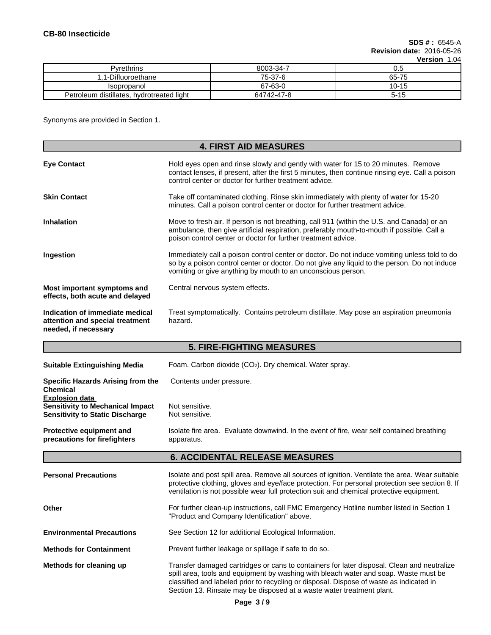**SDS # :** 6545-A **Revision date:** 2016-05-26

|                                           |            | <b>Version</b><br>1.04 |
|-------------------------------------------|------------|------------------------|
| Pyrethrins                                | 8003-34-7  | c. U                   |
| 1-Difluoroethane                          | 75-37-6    | 65-75                  |
| Isopropanol                               | 67-63-0    | $10 - 15$              |
| Petroleum distillates, hydrotreated light | 64742-47-8 | $5 - 15$               |

Synonyms are provided in Section 1.

|                                                                                                            | <b>4. FIRST AID MEASURES</b>                                                                                                                                                                                                                                                                                                                           |  |  |  |
|------------------------------------------------------------------------------------------------------------|--------------------------------------------------------------------------------------------------------------------------------------------------------------------------------------------------------------------------------------------------------------------------------------------------------------------------------------------------------|--|--|--|
| <b>Eye Contact</b>                                                                                         | Hold eyes open and rinse slowly and gently with water for 15 to 20 minutes. Remove<br>contact lenses, if present, after the first 5 minutes, then continue rinsing eye. Call a poison<br>control center or doctor for further treatment advice.                                                                                                        |  |  |  |
| <b>Skin Contact</b>                                                                                        | Take off contaminated clothing. Rinse skin immediately with plenty of water for 15-20<br>minutes. Call a poison control center or doctor for further treatment advice.                                                                                                                                                                                 |  |  |  |
| <b>Inhalation</b>                                                                                          | Move to fresh air. If person is not breathing, call 911 (within the U.S. and Canada) or an<br>ambulance, then give artificial respiration, preferably mouth-to-mouth if possible. Call a<br>poison control center or doctor for further treatment advice.                                                                                              |  |  |  |
| Ingestion                                                                                                  | Immediately call a poison control center or doctor. Do not induce vomiting unless told to do<br>so by a poison control center or doctor. Do not give any liquid to the person. Do not induce<br>vomiting or give anything by mouth to an unconscious person.                                                                                           |  |  |  |
| Most important symptoms and<br>effects, both acute and delayed                                             | Central nervous system effects.                                                                                                                                                                                                                                                                                                                        |  |  |  |
| Indication of immediate medical<br>attention and special treatment<br>needed, if necessary                 | Treat symptomatically. Contains petroleum distillate. May pose an aspiration pneumonia<br>hazard.                                                                                                                                                                                                                                                      |  |  |  |
|                                                                                                            | <b>5. FIRE-FIGHTING MEASURES</b>                                                                                                                                                                                                                                                                                                                       |  |  |  |
| <b>Suitable Extinguishing Media</b>                                                                        | Foam. Carbon dioxide (CO <sub>2</sub> ). Dry chemical. Water spray.                                                                                                                                                                                                                                                                                    |  |  |  |
| <b>Specific Hazards Arising from the</b><br><b>Chemical</b>                                                | Contents under pressure.                                                                                                                                                                                                                                                                                                                               |  |  |  |
| <b>Explosion data</b><br><b>Sensitivity to Mechanical Impact</b><br><b>Sensitivity to Static Discharge</b> | Not sensitive.<br>Not sensitive.                                                                                                                                                                                                                                                                                                                       |  |  |  |
| <b>Protective equipment and</b><br>precautions for firefighters                                            | Isolate fire area. Evaluate downwind. In the event of fire, wear self contained breathing<br>apparatus.                                                                                                                                                                                                                                                |  |  |  |
|                                                                                                            | <b>6. ACCIDENTAL RELEASE MEASURES</b>                                                                                                                                                                                                                                                                                                                  |  |  |  |
| <b>Personal Precautions</b>                                                                                | Isolate and post spill area. Remove all sources of ignition. Ventilate the area. Wear suitable<br>protective clothing, gloves and eye/face protection. For personal protection see section 8. If<br>ventilation is not possible wear full protection suit and chemical protective equipment.                                                           |  |  |  |
| Other                                                                                                      | For further clean-up instructions, call FMC Emergency Hotline number listed in Section 1<br>"Product and Company Identification" above.                                                                                                                                                                                                                |  |  |  |
| <b>Environmental Precautions</b>                                                                           | See Section 12 for additional Ecological Information.                                                                                                                                                                                                                                                                                                  |  |  |  |
| <b>Methods for Containment</b>                                                                             | Prevent further leakage or spillage if safe to do so.                                                                                                                                                                                                                                                                                                  |  |  |  |
| Methods for cleaning up                                                                                    | Transfer damaged cartridges or cans to containers for later disposal. Clean and neutralize<br>spill area, tools and equipment by washing with bleach water and soap. Waste must be<br>classified and labeled prior to recycling or disposal. Dispose of waste as indicated in<br>Section 13. Rinsate may be disposed at a waste water treatment plant. |  |  |  |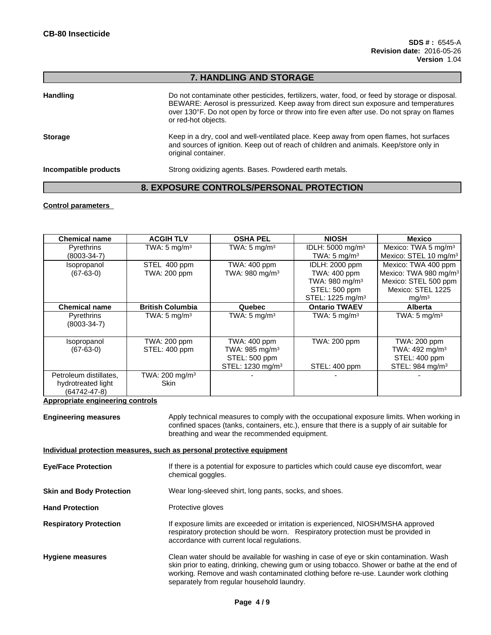## **7. HANDLING AND STORAGE**

| <b>Handling</b>       | Do not contaminate other pesticides, fertilizers, water, food, or feed by storage or disposal.<br>BEWARE: Aerosol is pressurized. Keep away from direct sun exposure and temperatures<br>over 130°F. Do not open by force or throw into fire even after use. Do not spray on flames<br>or red-hot objects. |
|-----------------------|------------------------------------------------------------------------------------------------------------------------------------------------------------------------------------------------------------------------------------------------------------------------------------------------------------|
| <b>Storage</b>        | Keep in a dry, cool and well-ventilated place. Keep away from open flames, hot surfaces<br>and sources of ignition. Keep out of reach of children and animals. Keep/store only in<br>original container.                                                                                                   |
| Incompatible products | Strong oxidizing agents. Bases. Powdered earth metals.                                                                                                                                                                                                                                                     |

# **8. EXPOSURE CONTROLS/PERSONAL PROTECTION**

### **Control parameters**

| <b>Chemical name</b>        | <b>ACGIH TLV</b>           | <b>OSHA PEL</b>              | <b>NIOSH</b>                 | <b>Mexico</b>                     |
|-----------------------------|----------------------------|------------------------------|------------------------------|-----------------------------------|
| Pyrethrins                  | TWA: $5 \text{ mg/m}^3$    | TWA: $5 \text{ mg/m}^3$      | IDLH: 5000 mg/m <sup>3</sup> | Mexico: TWA 5 mg/m <sup>3</sup>   |
| $(8003 - 34 - 7)$           |                            |                              | TWA: $5 \text{ mg/m}^3$      | Mexico: STEL 10 mg/m <sup>3</sup> |
| Isopropanol                 | STEL 400 ppm               | TWA: 400 ppm                 | IDLH: 2000 ppm               | Mexico: TWA 400 ppm               |
| $(67-63-0)$                 | TWA: 200 ppm               | TWA: 980 mg/m <sup>3</sup>   | TWA: 400 ppm                 | Mexico: TWA 980 mg/m <sup>3</sup> |
|                             |                            |                              | TWA: 980 mg/m <sup>3</sup>   | Mexico: STEL 500 ppm              |
|                             |                            |                              | STEL: 500 ppm                | Mexico: STEL 1225                 |
|                             |                            |                              | STEL: 1225 mg/m <sup>3</sup> | mg/m <sup>3</sup>                 |
| <b>Chemical name</b>        | <b>British Columbia</b>    | Quebec                       | <b>Ontario TWAEV</b>         | <b>Alberta</b>                    |
| Pyrethrins<br>$(8003-34-7)$ | TWA: $5 \text{ mg/m}^3$    | TWA: $5 \text{ mg/m}^3$      | TWA: $5 \text{ mg/m}^3$      | TWA: $5 \text{ mg/m}^3$           |
| Isopropanol                 | TWA: 200 ppm               | <b>TWA: 400 ppm</b>          | TWA: 200 ppm                 | <b>TWA: 200 ppm</b>               |
| $(67-63-0)$                 | STEL: 400 ppm              | TWA: $985 \text{ mg/m}^3$    |                              | TWA: $492 \text{ mg/m}^3$         |
|                             |                            | STEL: 500 ppm                |                              | STEL: 400 ppm                     |
|                             |                            | STEL: 1230 mg/m <sup>3</sup> | STEL: 400 ppm                | STEL: 984 mg/m <sup>3</sup>       |
| Petroleum distillates.      | TWA: 200 mg/m <sup>3</sup> |                              |                              |                                   |
| hydrotreated light          | <b>Skin</b>                |                              |                              |                                   |
| $(64742 - 47 - 8)$          |                            |                              |                              |                                   |

### **Appropriate engineering controls**

**Engineering measures** Apply technical measures to comply with the occupational exposure limits. When working in confined spaces (tanks, containers, etc.), ensure that there is a supply of air suitable for breathing and wear the recommended equipment.

### **Individual protection measures, such as personal protective equipment**

| <b>Eye/Face Protection</b>      | If there is a potential for exposure to particles which could cause eye discomfort, wear<br>chemical goggles.                                                                                                                                                                                                              |
|---------------------------------|----------------------------------------------------------------------------------------------------------------------------------------------------------------------------------------------------------------------------------------------------------------------------------------------------------------------------|
| <b>Skin and Body Protection</b> | Wear long-sleeved shirt, long pants, socks, and shoes.                                                                                                                                                                                                                                                                     |
| <b>Hand Protection</b>          | Protective gloves                                                                                                                                                                                                                                                                                                          |
| <b>Respiratory Protection</b>   | If exposure limits are exceeded or irritation is experienced, NIOSH/MSHA approved<br>respiratory protection should be worn. Respiratory protection must be provided in<br>accordance with current local regulations.                                                                                                       |
| <b>Hygiene measures</b>         | Clean water should be available for washing in case of eye or skin contamination. Wash<br>skin prior to eating, drinking, chewing gum or using tobacco. Shower or bathe at the end of<br>working. Remove and wash contaminated clothing before re-use. Launder work clothing<br>separately from regular household laundry. |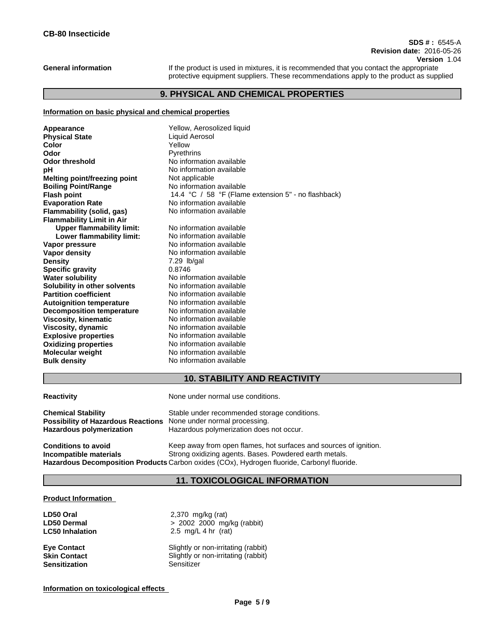### **SDS # :** 6545-A **Revision date:** 2016-05-26 **Version** 1.04

**General information** If the product is used in mixtures, it is recommended that you contact the appropriate protective equipment suppliers. These recommendations apply to the product as supplied

## **9. PHYSICAL AND CHEMICAL PROPERTIES**

### **Information on basic physical and chemical properties**

| Yellow, Aerosolized liquid                          |  |  |  |
|-----------------------------------------------------|--|--|--|
| Liquid Aerosol                                      |  |  |  |
| Yellow                                              |  |  |  |
| Pyrethrins                                          |  |  |  |
| No information available                            |  |  |  |
| No information available                            |  |  |  |
| Not applicable                                      |  |  |  |
| No information available                            |  |  |  |
| 14.4 °C / 58 °F (Flame extension 5" - no flashback) |  |  |  |
| No information available                            |  |  |  |
| No information available                            |  |  |  |
|                                                     |  |  |  |
| No information available                            |  |  |  |
| No information available                            |  |  |  |
| No information available                            |  |  |  |
| No information available                            |  |  |  |
| $7.29$ lb/gal                                       |  |  |  |
| 0.8746                                              |  |  |  |
| No information available                            |  |  |  |
| No information available                            |  |  |  |
| No information available                            |  |  |  |
| No information available                            |  |  |  |
| No information available                            |  |  |  |
| No information available                            |  |  |  |
| No information available                            |  |  |  |
| No information available                            |  |  |  |
| No information available                            |  |  |  |
| No information available                            |  |  |  |
| No information available                            |  |  |  |
|                                                     |  |  |  |

## **10. STABILITY AND REACTIVITY**

**Reactivity Reactivity Reactivity Reactivity Reactivity Reactivity Reactivity Reactivity Reactivity Reactivity Reactivity Reactivity Reactivity Reactivity Reactivity Reactivity Reactivity**

| <b>Chemical Stability</b>          | Stable under recommended storage conditions.                      |
|------------------------------------|-------------------------------------------------------------------|
| Possibility of Hazardous Reactions | None under normal processing.                                     |
| Hazardous polymerization           | Hazardous polymerization does not occur.                          |
| <b>Conditions to avoid</b>         | Keep away from open flames, hot surfaces and sources of ignition. |

**Incompatible materials** Strong oxidizing agents. Bases. Powdered earth metals. **Hazardous Decomposition Products** Carbon oxides (COx), Hydrogen fluoride, Carbonyl fluoride.

## **11. TOXICOLOGICAL INFORMATION**

### **Product Information**

| LD50 Oral              | 2,370 mg/kg (rat)                   |
|------------------------|-------------------------------------|
| <b>LD50 Dermal</b>     | $> 2002$ 2000 mg/kg (rabbit)        |
| <b>LC50 Inhalation</b> | 2.5 mg/L 4 hr $(rat)$               |
| <b>Eye Contact</b>     | Slightly or non-irritating (rabbit) |
| <b>Skin Contact</b>    | Slightly or non-irritating (rabbit) |
| <b>Sensitization</b>   | Sensitizer                          |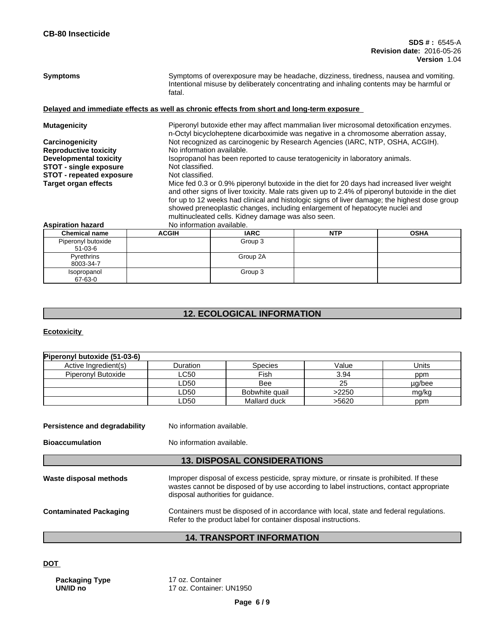Symptoms **Symptoms** Symptoms of overexposure may be headache, dizziness, tiredness, nausea and vomiting. Intentional misuse by deliberately concentrating and inhaling contents may be harmful or fatal.

## **Delayed and immediate effects as well as chronic effects from short and long-term exposure**

| <b>Mutagenicity</b>           |                                                                                                                                                                                                                                                                                                                                                                                                                                     | Piperonyl butoxide ether may affect mammalian liver microsomal detoxification enzymes.<br>n-Octyl bicycloheptene dicarboximide was negative in a chromosome aberration assay, |            |             |  |
|-------------------------------|-------------------------------------------------------------------------------------------------------------------------------------------------------------------------------------------------------------------------------------------------------------------------------------------------------------------------------------------------------------------------------------------------------------------------------------|-------------------------------------------------------------------------------------------------------------------------------------------------------------------------------|------------|-------------|--|
| Carcinogenicity               |                                                                                                                                                                                                                                                                                                                                                                                                                                     | Not recognized as carcinogenic by Research Agencies (IARC, NTP, OSHA, ACGIH).                                                                                                 |            |             |  |
| <b>Reproductive toxicity</b>  |                                                                                                                                                                                                                                                                                                                                                                                                                                     | No information available.                                                                                                                                                     |            |             |  |
| <b>Developmental toxicity</b> |                                                                                                                                                                                                                                                                                                                                                                                                                                     | Isopropanol has been reported to cause teratogenicity in laboratory animals.                                                                                                  |            |             |  |
| <b>STOT - single exposure</b> |                                                                                                                                                                                                                                                                                                                                                                                                                                     | Not classified.                                                                                                                                                               |            |             |  |
| STOT - repeated exposure      |                                                                                                                                                                                                                                                                                                                                                                                                                                     | Not classified.                                                                                                                                                               |            |             |  |
| <b>Target organ effects</b>   | Mice fed 0.3 or 0.9% piperonyl butoxide in the diet for 20 days had increased liver weight<br>and other signs of liver toxicity. Male rats given up to 2.4% of piperonyl butoxide in the diet<br>for up to 12 weeks had clinical and histologic signs of liver damage; the highest dose group<br>showed preneoplastic changes, including enlargement of hepatocyte nuclei and<br>multinucleated cells. Kidney damage was also seen. |                                                                                                                                                                               |            |             |  |
| <b>Aspiration hazard</b>      | No information available.                                                                                                                                                                                                                                                                                                                                                                                                           |                                                                                                                                                                               |            |             |  |
| <b>Chemical name</b>          | <b>ACGIH</b>                                                                                                                                                                                                                                                                                                                                                                                                                        | <b>IARC</b>                                                                                                                                                                   | <b>NTP</b> | <b>OSHA</b> |  |
| Piperonyl butoxide<br>51-03-6 |                                                                                                                                                                                                                                                                                                                                                                                                                                     | Group 3                                                                                                                                                                       |            |             |  |
| Pyrethrins<br>8003-34-7       |                                                                                                                                                                                                                                                                                                                                                                                                                                     | Group 2A                                                                                                                                                                      |            |             |  |

# **12. ECOLOGICAL INFORMATION**

Group 3

## **Ecotoxicity**

Isopropanol 67-63-0

| Duration | <b>Species</b> | Value | Units  |
|----------|----------------|-------|--------|
| LC50     | Fish           | 3.94  | ppm    |
| LD50     | Bee            | 25    | µg/bee |
| LD50     | Bobwhite quail | >2250 | mg/kg  |
| LD50     | Mallard duck   | >5620 | ppm    |
|          |                |       |        |

**Bioaccumulation** No information available.

## **13. DISPOSAL CONSIDERATIONS**

| Waste disposal methods        | Improper disposal of excess pesticide, spray mixture, or rinsate is prohibited. If these<br>wastes cannot be disposed of by use according to label instructions, contact appropriate<br>disposal authorities for quidance. |
|-------------------------------|----------------------------------------------------------------------------------------------------------------------------------------------------------------------------------------------------------------------------|
| <b>Contaminated Packaging</b> | Containers must be disposed of in accordance with local, state and federal regulations.<br>Refer to the product label for container disposal instructions.                                                                 |

## **14. TRANSPORT INFORMATION**

### **DOT**

**Packaging Type** 17 oz. Container<br> **UN/ID no** 17 oz. Container:

**UN/ID no** 17 oz. Container: UN1950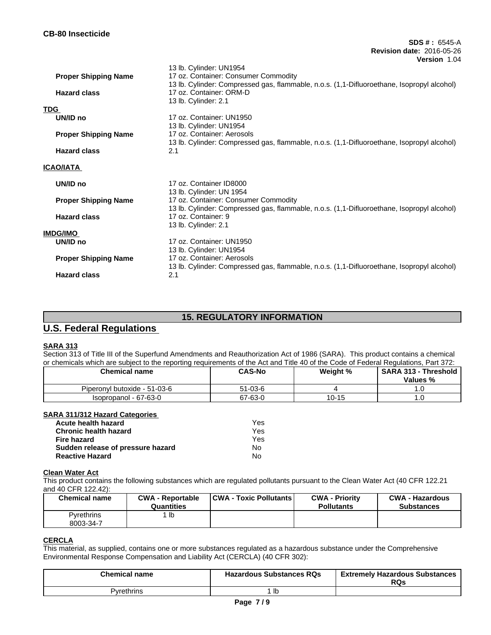|                             | 13 lb. Cylinder: UN1954                                                                    |
|-----------------------------|--------------------------------------------------------------------------------------------|
| <b>Proper Shipping Name</b> | 17 oz. Container: Consumer Commodity                                                       |
|                             | 13 lb. Cylinder: Compressed gas, flammable, n.o.s. (1,1-Difluoroethane, Isopropyl alcohol) |
| <b>Hazard class</b>         | 17 oz. Container: ORM-D                                                                    |
|                             | 13 lb. Cylinder: 2.1                                                                       |
| TDG                         |                                                                                            |
| UN/ID no                    | 17 oz. Container: UN1950                                                                   |
|                             | 13 lb. Cylinder: UN1954                                                                    |
| <b>Proper Shipping Name</b> | 17 oz. Container: Aerosols                                                                 |
|                             |                                                                                            |
| <b>Hazard class</b>         | 13 lb. Cylinder: Compressed gas, flammable, n.o.s. (1,1-Difluoroethane, Isopropyl alcohol) |
|                             | 2.1                                                                                        |
| ICAO/IATA                   |                                                                                            |
|                             |                                                                                            |
| UN/ID no                    | 17 oz. Container ID8000                                                                    |
|                             | 13 lb. Cylinder: UN 1954                                                                   |
| <b>Proper Shipping Name</b> | 17 oz. Container: Consumer Commodity                                                       |
|                             | 13 lb. Cylinder: Compressed gas, flammable, n.o.s. (1,1-Difluoroethane, Isopropyl alcohol) |
| <b>Hazard class</b>         | 17 oz. Container: 9                                                                        |
|                             |                                                                                            |
|                             | 13 lb. Cylinder: 2.1                                                                       |
| IMDG/IMO                    |                                                                                            |
| UN/ID no                    | 17 oz. Container: UN1950                                                                   |
|                             | 13 lb. Cylinder: UN1954                                                                    |
| <b>Proper Shipping Name</b> | 17 oz. Container: Aerosols                                                                 |
|                             | 13 lb. Cylinder: Compressed gas, flammable, n.o.s. (1,1-Difluoroethane, Isopropyl alcohol) |
| <b>Hazard class</b>         | 2.1                                                                                        |
|                             |                                                                                            |

## **15. REGULATORY INFORMATION**

# **U.S. Federal Regulations**

### **SARA 313**

Section 313 of Title III of the Superfund Amendments and Reauthorization Act of 1986 (SARA). This product contains a chemical or chemicals which are subject to the reporting requirements of the Act and Title 40 of the Code of Federal Regulations, Part 372:

| <b>Chemical name</b>         | <b>CAS-No</b> | Weight %  | <b>SARA 313 - Threshold</b><br>Values % |
|------------------------------|---------------|-----------|-----------------------------------------|
| Piperonyl butoxide - 51-03-6 | 51-03-6       |           |                                         |
| Isopropanol - 67-63-0        | 67-63-0       | $10 - 15$ |                                         |

## **SARA 311/312 Hazard Categories**

| Acute health hazard               | Yes |
|-----------------------------------|-----|
| <b>Chronic health hazard</b>      | Yes |
| Fire hazard                       | Yes |
| Sudden release of pressure hazard | No. |
| <b>Reactive Hazard</b>            | N٥  |

## **Clean Water Act**

This product contains the following substances which are regulated pollutants pursuant to the Clean Water Act (40 CFR 122.21 and 40 CFR 122.42):

| <b>Chemical name</b>    | <b>CWA - Reportable</b><br><b>Quantities</b> | <b>CWA - Toxic Pollutants  </b> | <b>CWA - Priority</b><br><b>Pollutants</b> | <b>CWA - Hazardous</b><br><b>Substances</b> |
|-------------------------|----------------------------------------------|---------------------------------|--------------------------------------------|---------------------------------------------|
| Pyrethrins<br>8003-34-7 | lb                                           |                                 |                                            |                                             |

### **CERCLA**

This material, as supplied, contains one or more substances regulated as a hazardous substance under the Comprehensive Environmental Response Compensation and Liability Act (CERCLA) (40 CFR 302):

| <b>Chemical name</b> | <b>Hazardous Substances RQs</b> | <b>Extremely Hazardous Substances</b><br>RQs |
|----------------------|---------------------------------|----------------------------------------------|
| Pvrethrins           | ıc                              |                                              |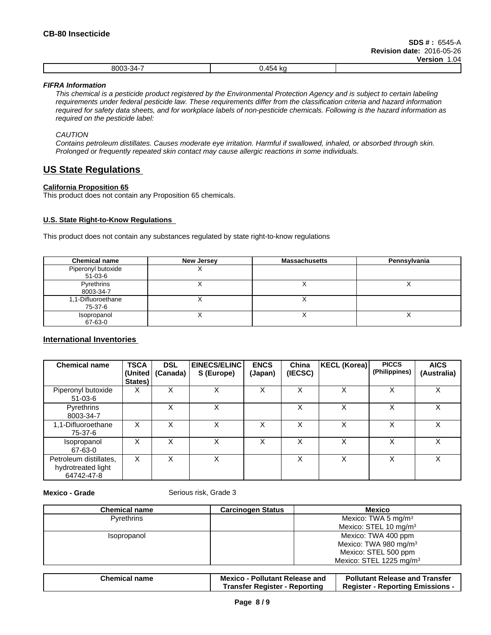|                             |                               | ----------- |
|-----------------------------|-------------------------------|-------------|
| 0002.27<br>י ה<br>יי<br>чи. | $\cdot$ $ \cdot$<br>. .<br>n. |             |
|                             |                               |             |

*FIFRA Information*

This chemical is a pesticide product registered by the Environmental Protection Agency and is subject to certain labeling requirements under federal pesticide law. These requirements differ from the classification criteria and hazard information required for safety data sheets, and for workplace labels of non-pesticide chemicals. Following is the hazard information as *required on the pesticide label:*

*CAUTION*

Contains petroleum distillates. Causes moderate eye irritation. Harmful if swallowed, inhaled, or absorbed through skin. *Prolonged or frequently repeated skin contact may cause allergic reactions in some individuals.*

## **US State Regulations**

### **California Proposition 65**

This product does not contain any Proposition 65 chemicals.

### **U.S. State Right-to-Know Regulations**

This product does not contain any substances regulated by state right-to-know regulations

| <b>Chemical name</b>            | New Jersey | <b>Massachusetts</b> | Pennsylvania |
|---------------------------------|------------|----------------------|--------------|
| Piperonyl butoxide<br>$51-03-6$ | ,,         |                      |              |
| Pyrethrins<br>8003-34-7         |            |                      |              |
| 1,1-Difluoroethane<br>75-37-6   |            |                      |              |
| Isopropanol<br>67-63-0          |            |                      | $\lambda$    |

## **International Inventories**

| <b>Chemical name</b>                                       | <b>TSCA</b><br>States) | <b>DSL</b><br>(United   (Canada) | <b>EINECS/ELINC</b><br>S (Europe) | <b>ENCS</b><br>(Japan) | China<br>(IECSC) | KECL (Korea) | <b>PICCS</b><br>(Philippines) | <b>AICS</b><br>(Australia) |
|------------------------------------------------------------|------------------------|----------------------------------|-----------------------------------|------------------------|------------------|--------------|-------------------------------|----------------------------|
| Piperonyl butoxide<br>$51-03-6$                            | X                      | X                                | X                                 | X                      | X                | X            | X                             | X                          |
| Pyrethrins<br>8003-34-7                                    |                        | x                                | X                                 |                        | х                | X            | X                             | X                          |
| 1,1-Difluoroethane<br>75-37-6                              | X                      | X                                | X                                 | X                      | X                | X            | X                             | X                          |
| Isopropanol<br>67-63-0                                     | X                      | X                                | X                                 | X                      | X                | X            | X                             | X                          |
| Petroleum distillates,<br>hydrotreated light<br>64742-47-8 | X                      | X                                | Χ                                 |                        | х                | X            | Χ                             | X                          |

**Mexico - Grade** Serious risk, Grade 3

| <b>Chemical name</b> | <b>Carcinogen Status</b> | <b>Mexico</b>                     |
|----------------------|--------------------------|-----------------------------------|
| Pyrethrins           |                          | Mexico: TWA 5 mg/m $3$            |
|                      |                          | Mexico: STEL 10 mg/m $3$          |
| Isopropanol          |                          | Mexico: TWA 400 ppm               |
|                      |                          | Mexico: TWA 980 mg/m <sup>3</sup> |
|                      |                          | Mexico: STEL 500 ppm              |
|                      |                          | Mexico: STEL 1225 mg/m $3$        |

| <b>Chemical name</b> | <b>Pollutant Release and</b><br><b>Mexico</b> | <b>Pollutant Release and</b><br>Transfer  |  |
|----------------------|-----------------------------------------------|-------------------------------------------|--|
|                      | Transfer Register<br>Reporting                | <b>Emissions</b><br>Register<br>Reporting |  |